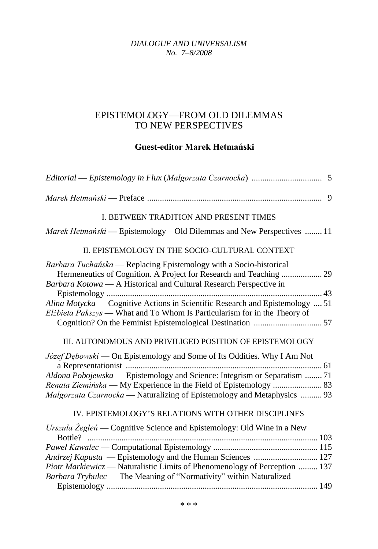*DIALOGUE AND UNIVERSALISM No. 7–8/2008*

## EPISTEMOLOGY—FROM OLD DILEMMAS TO NEW PERSPECTIVES

## **Guest-editor Marek Hetmański**

| I. BETWEEN TRADITION AND PRESENT TIMES                                                                                                                                                                                                                                                                                                                                       |
|------------------------------------------------------------------------------------------------------------------------------------------------------------------------------------------------------------------------------------------------------------------------------------------------------------------------------------------------------------------------------|
| <i>Marek Hetmański</i> — Epistemology—Old Dilemmas and New Perspectives  11                                                                                                                                                                                                                                                                                                  |
| II. EPISTEMOLOGY IN THE SOCIO-CULTURAL CONTEXT                                                                                                                                                                                                                                                                                                                               |
| Barbara Tuchańska — Replacing Epistemology with a Socio-historical<br>Hermeneutics of Cognition. A Project for Research and Teaching  29<br>Barbara Kotowa — A Historical and Cultural Research Perspective in<br>Alina Motycka — Cognitive Actions in Scientific Research and Epistemology  51<br>Elżbieta Pakszys — What and To Whom Is Particularism for in the Theory of |
| III. AUTONOMOUS AND PRIVILIGED POSITION OF EPISTEMOLOGY<br>Józef Dębowski — On Epistemology and Some of Its Oddities. Why I Am Not<br>Aldona Pobojewska — Epistemology and Science: Integrism or Separatism  71<br><i>Małgorzata Czarnocka</i> — Naturalizing of Epistemology and Metaphysics  93                                                                            |
| IV. EPISTEMOLOGY'S RELATIONS WITH OTHER DISCIPLINES<br>Urszula Żegleń — Cognitive Science and Epistemology: Old Wine in a New                                                                                                                                                                                                                                                |
| Andrzej Kapusta — Epistemology and the Human Sciences  127<br>Piotr Markiewicz - Naturalistic Limits of Phenomenology of Perception  137<br>Barbara Trybulec — The Meaning of "Normativity" within Naturalized                                                                                                                                                               |
|                                                                                                                                                                                                                                                                                                                                                                              |